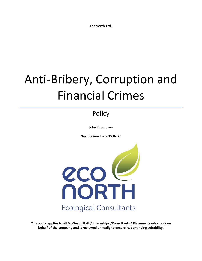EcoNorth Ltd.

# Anti-Bribery, Corruption and Financial Crimes

## **Policy**

**John Thompson**

**Next Review Date 15.02.23**



**This policy applies to all EcoNorth Staff / Internships /Consultants / Placements who work on behalf of the company and is reviewed annually to ensure its continuing suitability.**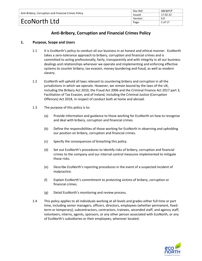| Anti-Bribery, Corruption and Financial Crimes Policy | Doc Ref: | ABC&FCP  |
|------------------------------------------------------|----------|----------|
|                                                      | Issued:  | 17.02.22 |
|                                                      | Version: | 6.0      |
| EcoNorth Ltd                                         | Page:    | 2 of 17  |

### **Anti-Bribery, Corruption and Financial Crimes Policy**

#### **1. Purpose, Scope and Users**

- 1.1 It is EcoNorth's policy to conduct all our business in an honest and ethical manner. EcoNorth takes a zero-tolerance approach to bribery, corruption and financial crimes and is committed to acting professionally, fairly, transparently and with integrity in all our business dealings and relationships wherever we operate and implementing and enforcing effective systems to counter bribery, tax evasion, money laundering and fraud, as well as modern slavery.
- 1.2 EcoNorth will uphold all laws relevant to countering bribery and corruption in all the jurisdictions in which we operate. However, we remain bound by the laws of the UK, including the Bribery Act 2010, the Fraud Act 2006 and the Criminal Finance Act 2017 part 3, Facilitation of Tax Evasion, and of Ireland, including th[e Criminal Justice \(Corruption](https://data.oireachtas.ie/ie/oireachtas/act/2018/9/eng/enacted/a0918.pdf)  [Offences\) Act 2018,](https://data.oireachtas.ie/ie/oireachtas/act/2018/9/eng/enacted/a0918.pdf) in respect of conduct both at home and abroad.
- 1.3 The purpose of this policy is to:
	- (a) Provide information and guidance to those working for EcoNorth on how to recognise and deal with bribery, corruption and financial crimes.
	- (b) Define the responsibilities of those working for EcoNorth in observing and upholding our position on bribery, corruption and financial crimes.
	- (c) Specify the consequences of breaching this policy.
	- (d) Set out EcoNorth's procedures to identify risks of bribery, corruption and financial crimes to the company and our internal control measures implemented to mitigate those risks.
	- (e) Describe EcoNorth's reporting procedures in the event of a suspected incident of malpractice.
	- (f) Explain EcoNorth's commitment to protecting victims of bribery, corruption or financial crimes.
	- (g) Detail EcoNorth's monitoring and review process.
- 1.4 This policy applies to all individuals working at all levels and grades either full time or part time, including senior managers, officers, directors, employees (whether permanent, fixedterm or temporary), subcontractors, contractors, trainees, seconded staff, and agency staff, volunteers, interns, agents, sponsors, or any other person associated with EcoNorth, or any of EcoNorth's subsidiaries or their employees, wherever located.

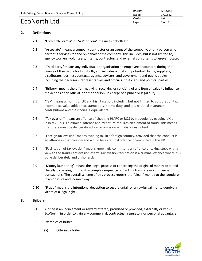| Anti-Bribery, Corruption and Financial Crimes Policy | Doc Ref: | ABC&FCP  |
|------------------------------------------------------|----------|----------|
|                                                      | lssued:  | 17.02.22 |
|                                                      | Version: | 6.0      |
| EcoNorth Ltd                                         | Page:    | 3 of 17  |

#### **2. Definitions**

- 2.1 "EcoNorth" or "us" or "we" or "our" means EcoNorth Ltd.
- 2.2 "Associate" means a company contractor or an agent of the company, or any person who performs services for and on behalf of the company. This includes, but is not limited to, agency workers, volunteers, interns, contractors and external consultants wherever located.
- 2.3 "Third party" means any individual or organisation an employee encounters during the course of their work for EcoNorth, and includes actual and potential clients, suppliers, distributors, business contacts, agents, advisers, and government and public bodies, including their advisors, representatives and officials, politicians and political parties.
- 2.4 "Bribery" means the offering, giving, receiving or soliciting of any item of value to influence the actions of an official, or other person, in charge of a public or legal duty.
- 2.5 "Tax" means all forms of UK and Irish taxation, including but not limited to corporation tax, income tax, value added tax, stamp duty, stamp duty land tax, national insurance contributions and their non-UK equivalents.
- 2.6 "Tax evasion" means an offence of cheating HMRC or ROS by fraudulently evading UK or Irish tax. This is a criminal offence and by nature requires an element of fraud. This means that there must be deliberate action or omission with dishonest intent.
- 2.7 "Foreign tax evasion" means evading tax in a foreign country, provided that the conduct is an offence in that country and would be a criminal offence if committed in the UK.
- 2.8 "Facilitation of tax evasion" means knowingly committing an offence or taking steps with a view to the fraudulent evasion of tax. Tax evasion facilitation is a criminal offence where it is done deliberately and dishonestly.
- 2.9 "Money laundering" means the illegal process of concealing the origins of money obtained illegally by passing it through a complex sequence of [banking transfers](https://en.wikipedia.org/wiki/Wire_transfer) or [commercial](https://en.wikipedia.org/wiki/Financial_transaction)  [transactions.](https://en.wikipedia.org/wiki/Financial_transaction) The overall scheme of this process returns the "clean" money to the launderer in an obscure and indirect way.
- 2.10 "Fraud" means the intentional deception to secure unfair or unlawful gain, or to deprive a victim of a legal right.

#### **3. Bribery**

- 3.1 A bribe is an inducement or reward offered, promised or provided, externally or within EcoNorth, in order to gain any commercial, contractual, regulatory or personal advantage.
- 3.2 Examples of bribes.
	- (a) Offering a bribe.

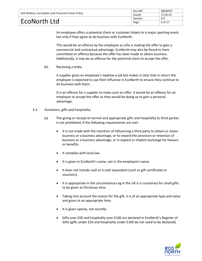| Anti-Bribery, Corruption and Financial Crimes Policy | Doc Ref: | ABC&FCP  |
|------------------------------------------------------|----------|----------|
|                                                      | Issued:  | 17.02.22 |
|                                                      | Version: | 6.0      |
| EcoNorth Ltd                                         | Page:    | 4 of 17  |

An employee offers a potential client or customer tickets to a major sporting event, but only if they agree to do business with EcoNorth.

This would be an offence by the employee as s/he is making the offer to gain a commercial and contractual advantage. EcoNorth may also be found to have committed an offence because the offer has been made to obtain business. Additionally, it may be an offence for the potential client to accept the offer.

(b) Receiving a bribe.

A supplier gives an employee's nephew a job but makes it clear that in return the employee is expected to use their influence in EcoNorth to ensure they continue to do business with them.

It is an offence for a supplier to make such an offer. It would be an offence for an employee to accept the offer as they would be doing so to gain a personal advantage.

- 3.3 Donations, gifts and hospitality.
	- (a) The giving or receipt of normal and appropriate gifts and hospitality to third parties is not prohibited, if the following requirements are met:
		- It is not made with the intention of influencing a third party to obtain or retain business or a business advantage, or to reward the provision or retention of business or a business advantage, or in explicit or implicit exchange for favours or benefits.
		- It complies with local law.
		- It is given in EcoNorth's name, not in the employee's name.
		- It does not include cash or a cash equivalent (such as gift certificates or vouchers).
		- It is appropriate in the circumstances eg in the UK it is customary for small gifts to be given at Christmas time.
		- Taking into account the reason for the gift, it is of an appropriate type and value and given at an appropriate time.
		- It is given openly, not secretly.
		- Gifts over £50 and hospitality over £100 are declared in EcoNorth's Register of Gifts (gifts under £50 and hospitality under £100 do not need to be declared).

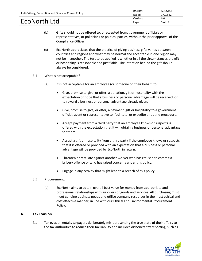| Anti-Bribery, Corruption and Financial Crimes Policy | Doc Ref: | ABC&FCP  |
|------------------------------------------------------|----------|----------|
|                                                      | Issued:  | 17.02.22 |
|                                                      | Version: | 6.0      |
| EcoNorth Ltd                                         | Page:    | 5 of 17  |

- (b) Gifts should not be offered to, or accepted from, government officials or representatives, or politicians or political parties, without the prior approval of the Compliance Officer.
- (c) EcoNorth appreciates that the practice of giving business gifts varies between countries and regions and what may be normal and acceptable in one region may not be in another. The test to be applied is whether in all the circumstances the gift or hospitality is reasonable and justifiable. The intention behind the gift should always be considered.
- 3.4 What is not acceptable?
	- (a) It is not acceptable for an employee (or someone on their behalf) to:
		- Give, promise to give, or offer, a donation, gift or hospitality with the expectation or hope that a business or personal advantage will be received, or to reward a business or personal advantage already given.
		- Give, promise to give, or offer, a payment, gift or hospitality to a government official, agent or representative to 'facilitate' or expedite a routine procedure.
		- Accept payment from a third party that an employee knows or suspects is offered with the expectation that it will obtain a business or personal advantage for them.
		- Accept a gift or hospitality from a third party if the employee knows or suspects that it is offered or provided with an expectation that a business or personal advantage will be provided by EcoNorth in return.
		- Threaten or retaliate against another worker who has refused to commit a bribery offence or who has raised concerns under this policy.
		- Engage in any activity that might lead to a breach of this policy.
- 3.5 Procurement.
	- (a) EcoNorth aims to obtain overall best value for money from appropriate and professional relationships with suppliers of goods and services. All purchasing must meet genuine business needs and utilise company resources in the most ethical and cost effective manner, in line with our Ethical and Environmental Procurement Policy.

#### **4. Tax Evasion**

4.1 Tax evasion entails taxpayers deliberately misrepresenting the true state of their affairs to the tax authorities to reduce their tax liability and includes dishonest tax reporting, such as

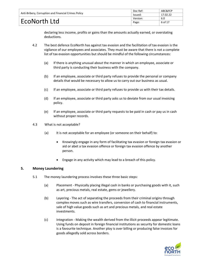| Anti-Bribery, Corruption and Financial Crimes Policy | Doc Ref: | ABC&FCP  |
|------------------------------------------------------|----------|----------|
|                                                      | Issued:  | 17.02.22 |
|                                                      | Version: | 6.0      |
| EcoNorth Ltd                                         | Page:    | 6 of 17  |

declaring less income, profits or gains than the amounts actually earned, or overstating deductions.

- 4.2 The best defence EcoNorth has against tax evasion and the facilitation of tax evasion is the vigilance of our employees and associates. They must be aware that there is not a complete list of tax evasion opportunities but should be mindful of the following circumstances:
	- (a) If there is anything unusual about the manner in which an employee, associate or third party is conducting their business with the company.
	- (b) If an employee, associate or third party refuses to provide the personal or company details that would be necessary to allow us to carry out our business as usual.
	- (c) If an employee, associate or third party refuses to provide us with their tax details.
	- (d) If an employee, associate or third party asks us to deviate from our usual invoicing policy.
	- (e) If an employee, associate or third party requests to be paid in cash or pay us in cash without proper records.
- 4.3 What is not acceptable?
	- (a) It is not acceptable for an employee (or someone on their behalf) to:
		- Knowingly engage in any form of facilitating tax evasion or foreign tax evasion or aid or abet a tax evasion offence or foreign tax evasion offence by another person.
		- Engage in any activity which may lead to a breach of this policy.

#### **5. Money Laundering**

- 5.1 The money laundering process involves these three basic steps:
	- (a) Placement Physically placing illegal cash in banks or purchasing goods with it, such as art, precious metals, real estate, gems or jewellery.
	- (b) Layering The act of separating the proceeds from their criminal origins through complex moves such as wire transfers, conversion of cash to financial instruments, sale of high value goods such as art and precious metals, and real estate investments.
	- (c) Integration Making the wealth derived from the illicit proceeds appear legitimate. Using funds on deposit in foreign financial institutions as security for domestic loans is a favourite technique. Another ploy is over billing or producing false invoices for goods allegedly sold across borders.

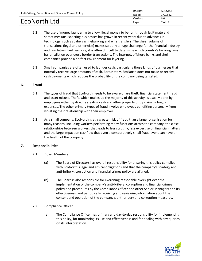| Anti-Bribery, Corruption and Financial Crimes Policy | Doc Ref: | ABC&FCP  |
|------------------------------------------------------|----------|----------|
|                                                      | Issued:  | 17.02.22 |
|                                                      | Version: | 6.0      |
| EcoNorth Ltd                                         | Page:    | 7 of 17  |

- 5.2 The use of money laundering to allow illegal money to be run through legitimate and sometimes unsuspecting businesses has grown in recent years due to advances in technology, such as cybercash, ebanking and wire transfers. The sheer volume of transactions (legal and otherwise) makes scrutiny a huge challenge for the financial industry and regulators. Furthermore, it is often difficult to determine which country's banking laws ha jurisdiction over cross-border transactions. The internet, offshore banks and shell companies provide a perfect environment for layering.
- 5.3 Small companies are often used to launder cash, particularly those kinds of businesses that normally receive large amounts of cash. Fortunately, EcoNorth does not make or receive cash payments which reduces the probability of the company being targeted.

#### **6. Fraud**

- 6.1 The types of fraud that EcoNorth needs to be aware of are theft, financial statement fraud and asset misuse. Theft, which makes up the majority of this activity, is usually done by employees either by directly stealing cash and other property or by claiming bogus expenses. The other primary types of fraud involve employees benefiting personally from violating their relationship with their employer.
- 6.2 As a small company, EcoNorth is at a greater risk of fraud than a larger organisation for many reasons, including workers performing many functions across the company, the close relationships between workers that leads to less scrutiny, less expertise on financial matters and the large impact on cashflow that even a comparatively small fraud event can have on the health of the company.

#### **7. Responsibilities**

- 7.1 Board Members
	- (a) The Board of Directors has overall responsibility for ensuring this policy complies with EcoNorth's legal and ethical obligations and that the company's strategy and anti-bribery, corruption and financial crimes policy are aligned.
	- (b) The Board is also responsible for exercising reasonable oversight over the implementation of the company's anti-bribery, corruption and financial crimes policy and procedures by the Compliance Officer and other Senior Managers and its effectiveness, and periodically receiving and reviewing information about the content and operation of the company's anti-bribery and corruption measures.
- 7.2 Compliance Officer
	- (a) The Compliance Officer has primary and day-to-day responsibility for implementing this policy, for monitoring its use and effectiveness and for dealing with any queries on its interpretation.

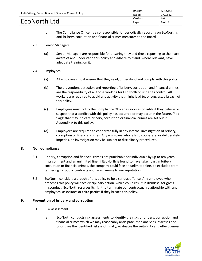| Anti-Bribery, Corruption and Financial Crimes Policy | Doc Ref: | ABC&FCP  |
|------------------------------------------------------|----------|----------|
|                                                      | lssued:  | 17.02.22 |
|                                                      | Version: | 6.0      |
| EcoNorth Ltd                                         | Page:    | 8 of 17  |

- (b) The Compliance Officer is also responsible for periodically reporting on EcoNorth's anti-bribery, corruption and financial crimes measures to the Board.
- 7.3 Senior Managers
	- (a) Senior Managers are responsible for ensuring they and those reporting to them are aware of and understand this policy and adhere to it and, where relevant, have adequate training on it.
- 7.4 Employees
	- (a) All employees must ensure that they read, understand and comply with this policy.
	- (b) The prevention, detection and reporting of bribery, corruption and financial crimes are the responsibility of all those working for EcoNorth or under its control. All workers are required to avoid any activity that might lead to, or suggest, a breach of this policy.
	- (c) Employees must notify the Compliance Officer as soon as possible if they believe or suspect that a conflict with this policy has occurred or may occur in the future. 'Red flags' that may indicate bribery, corruption or financial crimes are set out in Appendix A to this policy.
	- (d) Employees are required to cooperate fully in any internal investigation of bribery, corruption or financial crimes. Any employee who fails to cooperate, or deliberately impedes, an investigation may be subject to disciplinary procedures.

#### **8. Non-compliance**

- 8.1 Bribery, corruption and financial crimes are punishable for individuals by up to ten years' imprisonment and an unlimited fine. If EcoNorth is found to have taken part in bribery, corruption or financial crimes, the company could face an unlimited fine, be excluded from tendering for public contracts and face damage to our reputation.
- 8.2 EcoNorth considers a breach of this policy to be a serious offence. Any employee who breaches this policy will face disciplinary action, which could result in dismissal for gross misconduct. EcoNorth reserves its right to terminate our contractual relationship with any employees, associates or third parties if they breach this policy.

#### **9. Prevention of bribery and corruption**

- 9.1 Risk assessment
	- (a) EcoNorth conducts risk assessments to identify the risks of bribery, corruption and financial crimes which we may reasonably anticipate, then analyses, assesses and prioritises the identified risks and, finally, evaluates the suitability and effectiveness

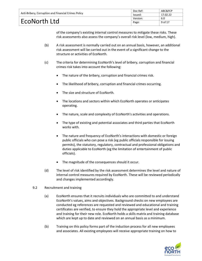| Anti-Bribery, Corruption and Financial Crimes Policy | Doc Ref: | ABC&FCP  |
|------------------------------------------------------|----------|----------|
|                                                      | lssued:  | 17.02.22 |
|                                                      | Version: | 6.0      |
| EcoNorth Ltd                                         | Page:    | 9 of 17  |

of the company's existing internal control measures to mitigate these risks. These risk assessments also assess the company's overall risk level (low, medium, high).

- (b) A risk assessment is normally carried out on an annual basis, however, an additional risk assessment will be carried out in the event of a significant change to the structure or activities of EcoNorth.
- (c) The criteria for determining EcoNorth's level of bribery, corruption and financial crimes risk takes into account the following:
	- The nature of the bribery, corruption and financial crimes risk.
	- The likelihood of bribery, corruption and financial crimes occurring.
	- The size and structure of EcoNorth.
	- The locations and sectors within which EcoNorth operates or anticipates operating.
	- The nature, scale and complexity of EcoNorth's activities and operations.
	- The type of existing and potential associates and third parties that EcoNorth works with.
	- The nature and frequency of EcoNorth's interactions with domestic or foreign public officials who can pose a risk (eg public officials responsible for issuing permits), the statutory, regulatory, contractual and professional obligations and duties applicable to EcoNorth (eg the limitation of entertainment of public officials).
	- The magnitude of the consequences should it occur.
- (d) The level of risk identified by the risk assessment determines the level and nature of internal control measures required by EcoNorth. These will be reviewed periodically and changes implemented accordingly.
- 9.2 Recruitment and training
	- (a) EcoNorth ensures that it recruits individuals who are committed to and understand EcoNorth's values, aims and objectives. Background checks on new employees are conducted eg references are requested and reviewed and educational and training certificates are verified, to ensure they hold the appropriate level and experience and training for their new role. EcoNorth holds a skills matrix and training database which are kept up to date and reviewed on an annual basis as a minimum.
	- (b) Training on this policy forms part of the induction process for all new employees and associates. All existing employees will receive appropriate training on how to

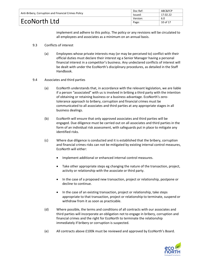| Anti-Bribery, Corruption and Financial Crimes Policy | Doc Ref: | ABC&FCP  |
|------------------------------------------------------|----------|----------|
|                                                      | Issued:  | 17.02.22 |
|                                                      | Version: | 6.0      |
| EcoNorth Ltd                                         | Page:    | 10 of 17 |

implement and adhere to this policy. The policy or any revisions will be circulated to all employees and associates as a minimum on an annual basis.

- 9.3 Conflicts of interest
	- (a) Employees whose private interests may (or may be perceived to) conflict with their official duties must declare their interest eg a Senior Manager having a personal financial interest in a competitor's business. Any undeclared conflicts of interest will be dealt with under the EcoNorth's disciplinary procedures, as detailed in the Staff Handbook.
- 9.4 Associates and third parties
	- (a) EcoNorth understands that, in accordance with the relevant legislation, we are liable if a person "associated" with us is involved in bribing a third party with the intention of obtaining or retaining business or a business advantage. EcoNorth's zerotolerance approach to bribery, corruption and financial crimes must be communicated to all associates and third parties at any appropriate stages in all business dealings.
	- (b) EcoNorth will ensure that only approved associates and third parties will be engaged. Due diligence must be carried out on all associates and third parties in the form of an individual risk assessment, with safeguards put in place to mitigate any identified risks.
	- (c) Where due diligence is conducted and it is established that the bribery, corruption and financial crimes risks can not be mitigated by existing internal control measures, EcoNorth will either:
		- Implement additional or enhanced internal control measures.
		- Take other appropriate steps eg changing the nature of the transaction, project, activity or relationship with the associate or third party.
		- In the case of a proposed new transaction, project or relationship, postpone or decline to continue.
		- In the case of an existing transaction, project or relationship, take steps appropriate to that transaction, project or relationship to terminate, suspend or withdraw from it as soon as practicable.
	- (d) Where possible, the terms and conditions of all contracts with our associates and third parties will incorporate an obligation not to engage in bribery, corruption and financial crimes and the right for EcoNorth to terminate the relationship immediately if bribery or corruption is suspected.
	- (e) All contracts above £100k must be reviewed and approved by EcoNorth's Board.

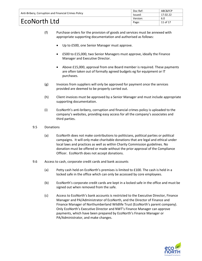| Anti-Bribery, Corruption and Financial Crimes Policy | Doc Ref: | ABC&FCP  |
|------------------------------------------------------|----------|----------|
|                                                      | Issued:  | 17.02.22 |
|                                                      | Version: | 6.0      |
| EcoNorth Ltd                                         | Page:    | 11 of 17 |

- (f) Purchase orders for the provision of goods and services must be annexed with appropriate supporting documentation and authorised as follows:
	- Up to £500, one Senior Manager must approve.
	- £500 to £15,000, two Senior Managers must approve, ideally the Finance Manager and Executive Director.
	- Above £15,000, approval from one Board member is required. These payments are often taken out of formally agreed budgets eg for equipment or IT purchases.
- (g) Invoices from suppliers will only be approved for payment once the services provided are deemed to be properly carried out.
- (h) Client invoices must be approved by a Senior Manager and must include appropriate supporting documentation.
- (i) EcoNorth's anti-bribery, corruption and financial crimes policy is uploaded to the company's websites, providing easy access for all the company's associates and third parties.
- 9.5 Donations
	- (a) EcoNorth does not make contributions to politicians, political parties or political campaigns. It will only make charitable donations that are legal and ethical under local laws and practices as well as within Charity Commission guidelines. No donation must be offered or made without the prior approval of the Compliance Officer. EcoNorth does not accept donations.
- 9.6 Access to cash, corporate credit cards and bank accounts
	- (a) Petty cash held on EcoNorth's premises is limited to £100. The cash is held in a locked safe in the office which can only be accessed by core employees.
	- (b) EcoNorth's corporate credit cards are kept in a locked safe in the office and must be signed out when removed from the safe.
	- (c) Access to EcoNorth's bank accounts is restricted to the Executive Director, Finance Manager and PA/Administrator of EcoNorth, and the Director of Finance and Finance Manager of Northumberland Wildlife Trust (EcoNorth's parent company). Only EcoNorth's Executive Director and NWT's Finance Manager can approve payments, which have been prepared by EcoNorth's Finance Manager or PA/Administrator, and make changes.

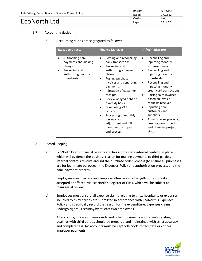| Anti-Bribery, Corruption and Financial Crimes Policy | Doc Ref: | ABC&FCP  |
|------------------------------------------------------|----------|----------|
|                                                      | lssued:  | 17.02.22 |
|                                                      | Version: | 6.0      |
| EcoNorth Ltd                                         | Page:    | 12 of 17 |

#### 9.7 Accounting duties

(a) Accounting duties are segregated as follows:

| <b>Executive Director</b>                                                                                  | <b>Finance Manager</b>                                                                                                                                                                                                                                                                                                                                                                      | PA/Administrator                                                                                                                                                                                                                                                                                                                                                                                                                                             |
|------------------------------------------------------------------------------------------------------------|---------------------------------------------------------------------------------------------------------------------------------------------------------------------------------------------------------------------------------------------------------------------------------------------------------------------------------------------------------------------------------------------|--------------------------------------------------------------------------------------------------------------------------------------------------------------------------------------------------------------------------------------------------------------------------------------------------------------------------------------------------------------------------------------------------------------------------------------------------------------|
| Authorising bank<br>payments and making<br>changes.<br>Reviewing and<br>authorising monthly<br>timesheets. | Posting and reconciling<br>bank transactions.<br>Reviewing and<br>authorising expense<br>claims.<br>Posting purchase<br>invoices and generating<br>payments.<br>Allocation of customer<br>receipts.<br>Review of aged debt on<br>a weekly basis.<br><b>Completing VAT</b><br>returns.<br>Processing of monthly<br>journals and<br>adjustment and full<br>month end and year<br>end process. | Reconciling and<br>$\bullet$<br>inputting monthly<br>expense claims.<br>Reconciling and<br>$\bullet$<br>inputting monthly<br>timesheets.<br>Reconciling and<br>$\bullet$<br>inputting monthly<br>credit card transactions.<br>Raising sales invoices<br>$\bullet$<br>based on invoice<br>requests received.<br>Inputting new<br>٠<br>customers and<br>suppliers.<br>Administering projects,<br>٠<br>creating new projects<br>and changing project<br>status. |

#### 9.8 Record keeping

- (a) EcoNorth keeps financial records and has appropriate internal controls in place which will evidence the business reason for making payments to third parties. Internal controls revolve around the purchase order process (to ensure all purchases are for legitimate purposes), the Expenses Policy and authorisation process, and the bank payment process.
- (b) Employees must declare and keep a written record of all gifts or hospitality accepted or offered, via EcoNorth's Register of Gifts, which will be subject to managerial review.
- (c) Employees must ensure all expense claims relating to gifts, hospitality or expenses incurred to third parties are submitted in accordance with EcoNorth's Expenses Policy and specifically record the reason for the expenditure. Expenses claims undergo rigorous scrutiny by at least two employees.
- (d) All accounts, invoices, memoranda and other documents and records relating to dealings with third parties should be prepared and maintained with strict accuracy and completeness. No accounts must be kept 'off-book' to facilitate or conceal improper payments.

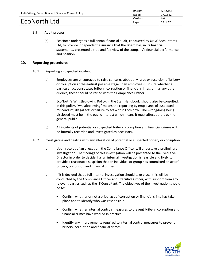| Anti-Bribery, Corruption and Financial Crimes Policy | Doc Ref: | ABC&FCP  |
|------------------------------------------------------|----------|----------|
|                                                      | Issued:  | 17.02.22 |
| EcoNorth Ltd                                         | Version: | 6.0      |
|                                                      | Page:    | 13 of 17 |

#### 9.9 Audit process

(a) EcoNorth undergoes a full annual financial audit, conducted by UNW Accountants Ltd, to provide independent assurance that the Board has, in its financial statements, presented a true and fair view of the company's financial performance and position.

#### **10. Reporting procedures**

- 10.1 Reporting a suspected incident
	- (a) Employees are encouraged to raise concerns about any issue or suspicion of bribery or corruption at the earliest possible stage. If an employee is unsure whether a particular act constitutes bribery, corruption or financial crimes, or has any other queries, these should be raised with the Compliance Officer.
	- (b) EcoNorth's Whistleblowing Policy, in the Staff Handbook, should also be consulted. In this policy, "whistleblowing" means the reporting by employees of suspected misconduct, illegal acts or failure to act within EcoNorth. The wrongdoing being disclosed must be in the public interest which means it must affect others eg the general public.
	- (c) All incidents of potential or suspected bribery, corruption and financial crimes will be formally recorded and investigated as necessary.
- 10.2 Investigating and dealing with any allegation of potential or suspected bribery or corruption
	- (a) Upon receipt of an allegation, the Compliance Officer will undertake a preliminary investigation. The findings of this investigation will be presented to the Executive Director in order to decide if a full internal investigation is feasible and likely to provide a reasonable suspicion that an individual or group has committed an act of bribery, corruption and financial crimes.
	- (b) If it is decided that a full internal investigation should take place, this will be conducted by the Compliance Officer and Executive Officer, with support from any relevant parties such as the IT Consultant. The objectives of the investigation should be to:
		- Confirm whether or not a bribe, act of corruption or financial crime has taken place and to identify who was responsible.
		- Confirm whether internal controls measures to prevent bribery, corruption and financial crimes have worked in practice.
		- Identify any improvements required to internal control measures to prevent bribery, corruption and financial crimes.

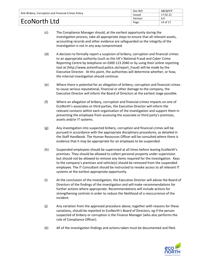| Anti-Bribery, Corruption and Financial Crimes Policy | Doc Ref: | ABC&FCP  |
|------------------------------------------------------|----------|----------|
|                                                      | Issued:  | 17.02.22 |
| EcoNorth Ltd                                         | Version: | 6.0      |
|                                                      | Page:    | 14 of 17 |

- (c) The Compliance Manager should, at the earliest opportunity during the investigation process, take all appropriate steps to ensure that all relevant assets, accounting records and other evidence are safeguarded so the integrity of the investigation is not in any way compromised.
- (d) A decision to formally report a suspicion of bribery, corruption and financial crimes to an appropriate authority (such as the UK's National Fraud and Cyber Crime Reporting Centre by telephone on 0300 123 2040 or by using their online reporting tool at [\(http://www.actionfraud.police.uk/report\\_fraud\)](http://www.actionfraud.police.uk/report_fraud) will be made by the Executive Director. At this point, the authorities will determine whether, or how, the internal investigation should continue.
- (e) Where there is potential for an allegation of bribery, corruption and financial crimes to cause serious reputational, financial or other damage to the company, the Executive Director will inform the Board of Directors at the earliest stage possible.
- (f) Where an allegation of bribery, corruption and financial crimes impacts on one of EcoNorth's associates or third parties, the Executive Director will inform the relevant contacts within each organisation of the investigation and support them in preventing the employee from accessing the associate or third party's premises, assets and/or IT systems.
- (g) Any investigation into suspected bribery, corruption and financial crimes will be pursued in accordance with the appropriate disciplinary procedures, as detailed in the Staff Handbook. The Human Resources Officer will be consulted where there is evidence that it may be appropriate for an employee to be suspended.
- (h) Suspended employees should be supervised at all times before leaving EcoNorth's premises. They should be allowed to collect personal property under supervision but should not be allowed to remove any items required for the investigation. Keys to the company's premises and vehicle(s) should be removed from the suspended employee. The IT Consultant should be instructed to revoke access to all relevant IT systems at the earliest appropriate opportunity.
- (i) At the conclusion of the investigation, the Executive Director will advise the Board of Directors of the findings of the investigation and will make recommendations for further actions where appropriate. Recommendations will include actions for strengthening controls in order to reduce the likelihood of a reoccurrence of the incident.
- (j) Any variation from the approved procedure above, together with reasons for these variations, should be reported to EcoNorth's Board of Directors, eg if the person suspected of bribery or corruption is the Finance Manager (who also performs the role of Compliance Officer).
- (k) All of the investigation findings and actions taken must be documented and filed.

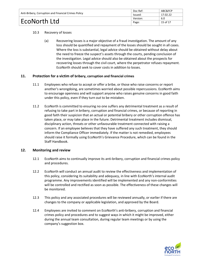| Anti-Bribery, Corruption and Financial Crimes Policy | Doc Ref: | ABC&FCP  |
|------------------------------------------------------|----------|----------|
|                                                      | Issued:  | 17.02.22 |
| EcoNorth Ltd                                         | Version: | 6.0      |
|                                                      | Page:    | 15 of 17 |

#### 10.3 Recovery of losses

(a) Recovering losses is a major objective of a fraud investigation. The amount of any loss should be quantified and repayment of the losses should be sought in all cases. Where the loss is substantial, legal advice should be obtained without delay about the need to freeze the suspect's assets through the courts, pending conclusion of the investigation. Legal advice should also be obtained about the prospects for recovering losses through the civil court, where the perpetrator refuses repayment. EcoNorth should seek to cover costs in addition to losses.

#### **11. Protection for a victim of bribery, corruption and financial crimes**

- 11.1 Employees who refuse to accept or offer a bribe, or those who raise concerns or report another's wrongdoing, are sometimes worried about possible repercussions. EcoNorth aims to encourage openness and will support anyone who raises genuine concerns in good faith under this policy, even if they turn out to be mistaken.
- 11.2 EcoNorth is committed to ensuring no one suffers any detrimental treatment as a result of refusing to take part in bribery, corruption and financial crimes, or because of reporting in good faith their suspicion that an actual or potential bribery or other corruption offence has taken place, or may take place in the future. Detrimental treatment includes dismissal, disciplinary action, threats or other unfavourable treatment connected with raising a concern. If an employee believes that they have suffered any such treatment, they should inform the Compliance Officer immediately. If the matter is not remedied, employees should raise it formally using EcoNorth's Grievance Procedure, which can be found in the Staff Handbook.

#### **12. Monitoring and review**

- 12.1 EcoNorth aims to continually improve its anti-bribery, corruption and financial crimes policy and procedures.
- 12.2 EcoNorth will conduct an annual audit to review the effectiveness and implementation of this policy, considering its suitability and adequacy, in line with EcoNorth's internal audit programme. Any improvements identified will be implemented and any non-conformities will be controlled and rectified as soon as possible. The effectiveness of these changes will be monitored.
- 12.3 This policy and any associated procedures will be reviewed annually, or earlier if there are changes to the company or applicable legislation, and approved by the Board.
- 12.4 Employees are invited to comment on EcoNorth's anti-bribery, corruption and financial crimes policy and procedures and to suggest ways in which it might be improved, either during the annual team consultation, during regular team meetings or by using the company's suggestion box.

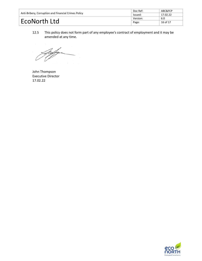| Anti-Bribery, Corruption and Financial Crimes Policy | Doc Ref: | ABC&FCP  |
|------------------------------------------------------|----------|----------|
|                                                      | Issued:  | 17.02.22 |
| EcoNorth Ltd                                         | Version: | 6.0      |
|                                                      | Page:    | 16 of 17 |

12.5 This policy does not form part of any employee's contract of employment and it may be amended at any time.

John Thompson Executive Director 17.02.22